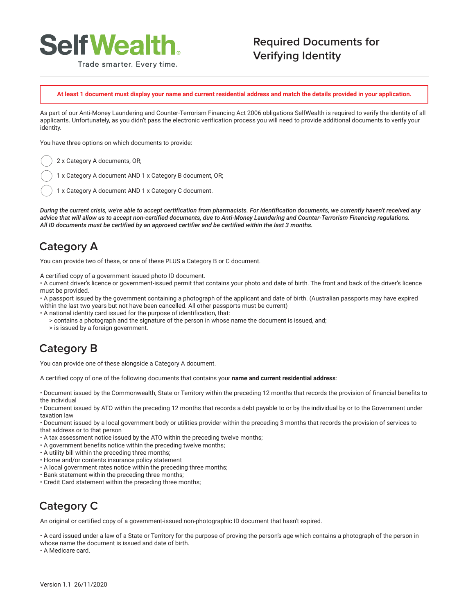

#### Trade smarter. Every time.

#### **Required Documents for Verifying Identity**

**At least 1 document must display your name and current residential address and match the details provided in your application.**

As part of our Anti-Money Laundering and Counter-Terrorism Financing Act 2006 obligations SelfWealth is required to verify the identity of all applicants. Unfortunately, as you didn't pass the electronic verification process you will need to provide additional documents to verify your identity.

You have three options on which documents to provide:

2 x Category A documents, OR;

1 x Category A document AND 1 x Category B document, OR;

1 x Category A document AND 1 x Category C document.

*During the current crisis, we're able to accept certification from pharmacists. For identification documents, we currently haven't received any advice that will allow us to accept non-certified documents, due to Anti-Money Laundering and Counter-Terrorism Financing regulations. All ID documents must be certified by an approved certifier and be certified within the last 3 months.*

## **Category A**

You can provide two of these, or one of these PLUS a Category B or C document.

A certified copy of a government-issued photo ID document.

• A current driver's licence or government-issued permit that contains your photo and date of birth. The front and back of the driver's licence must be provided.

• A passport issued by the government containing a photograph of the applicant and date of birth. (Australian passports may have expired within the last two years but not have been cancelled. All other passports must be current)

- A national identity card issued for the purpose of identification, that:
	- > contains a photograph and the signature of the person in whose name the document is issued, and;
	- > is issued by a foreign government.

## **Category B**

You can provide one of these alongside a Category A document.

A certified copy of one of the following documents that contains your **name and current residential address**:

• Document issued by the Commonwealth, State or Territory within the preceding 12 months that records the provision of financial benefits to the individual

• Document issued by ATO within the preceding 12 months that records a debt payable to or by the individual by or to the Government under taxation law

• Document issued by a local government body or utilities provider within the preceding 3 months that records the provision of services to that address or to that person

- A tax assessment notice issued by the ATO within the preceding twelve months;
- A government benefits notice within the preceding twelve months;
- A utility bill within the preceding three months;
- Home and/or contents insurance policy statement
- A local government rates notice within the preceding three months;
- Bank statement within the preceding three months;
- Credit Card statement within the preceding three months;

# **Category C**

An original or certified copy of a government-issued non-photographic ID document that hasn't expired.

• A card issued under a law of a State or Territory for the purpose of proving the person's age which contains a photograph of the person in whose name the document is issued and date of birth.

• A Medicare card.